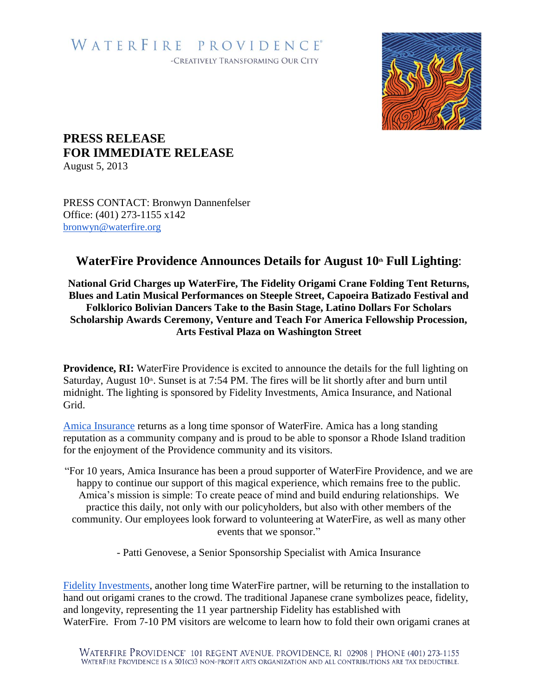# WATERFIRE PROVIDENCE® -CREATIVELY TRANSFORMING OUR CITY



# **PRESS RELEASE FOR IMMEDIATE RELEASE**

August 5, 2013

PRESS CONTACT: Bronwyn Dannenfelser Office: (401) 273-1155 x142 [bronwyn@waterfire.org](mailto:bronwyn@waterfire.org)

# **WaterFire Providence Announces Details for August 10 th Full Lighting**:

## **National Grid Charges up WaterFire, The Fidelity Origami Crane Folding Tent Returns, Blues and Latin Musical Performances on Steeple Street, Capoeira Batizado Festival and Folklorico Bolivian Dancers Take to the Basin Stage, Latino Dollars For Scholars Scholarship Awards Ceremony, Venture and Teach For America Fellowship Procession, Arts Festival Plaza on Washington Street**

**Providence, RI:** WaterFire Providence is excited to announce the details for the full lighting on Saturday, August 10<sup>th</sup>. Sunset is at 7:54 PM. The fires will be lit shortly after and burn until midnight. The lighting is sponsored by Fidelity Investments, Amica Insurance, and National Grid.

[Amica Insurance](http://www.amica.com/) returns as a long time sponsor of WaterFire. Amica has a long standing reputation as a community company and is proud to be able to sponsor a Rhode Island tradition for the enjoyment of the Providence community and its visitors.

"For 10 years, Amica Insurance has been a proud supporter of WaterFire Providence, and we are happy to continue our support of this magical experience, which remains free to the public. Amica's mission is simple: To create peace of mind and build enduring relationships. We practice this daily, not only with our policyholders, but also with other members of the community. Our employees look forward to volunteering at WaterFire, as well as many other events that we sponsor."

- Patti Genovese, a Senior Sponsorship Specialist with Amica Insurance

[Fidelity Investments,](http://www.fidelity.com/) another long time WaterFire partner, will be returning to the installation to hand out origami cranes to the crowd. The traditional Japanese crane symbolizes peace, fidelity, and longevity, representing the 11 year partnership Fidelity has established with WaterFire. From 7-10 PM visitors are welcome to learn how to fold their own origami cranes at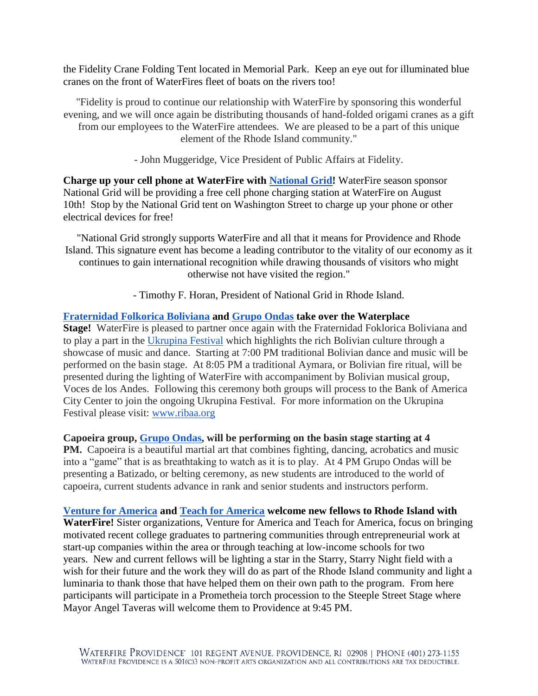the Fidelity Crane Folding Tent located in Memorial Park. Keep an eye out for illuminated blue cranes on the front of WaterFires fleet of boats on the rivers too!

"Fidelity is proud to continue our relationship with WaterFire by sponsoring this wonderful evening, and we will once again be distributing thousands of hand-folded origami cranes as a gift from our employees to the WaterFire attendees. We are pleased to be a part of this unique element of the Rhode Island community."

- John Muggeridge, Vice President of Public Affairs at Fidelity.

**Charge up your cell phone at WaterFire with [National Grid!](http://www.nationalgridus.com/)** WaterFire season sponsor National Grid will be providing a free cell phone charging station at WaterFire on August 10th! Stop by the National Grid tent on Washington Street to charge up your phone or other electrical devices for free!

"National Grid strongly supports WaterFire and all that it means for Providence and Rhode Island. This signature event has become a leading contributor to the vitality of our economy as it continues to gain international recognition while drawing thousands of visitors who might otherwise not have visited the region."

- Timothy F. Horan, President of National Grid in Rhode Island.

### **[Fraternidad Folkorica Boliviana](http://www.ffbri.com/) and [Grupo Ondas](http://www.capoeirabcv.com/) take over the Waterplace**

**Stage!** WaterFire is pleased to partner once again with the Fraternidad Foklorica Boliviana and to play a part in the [Ukrupina Festival](http://www.ribaa.org/Urkupina%20Page.html) which highlights the rich Bolivian culture through a showcase of music and dance. Starting at 7:00 PM traditional Bolivian dance and music will be performed on the basin stage. At 8:05 PM a traditional Aymara, or Bolivian fire ritual, will be presented during the lighting of WaterFire with accompaniment by Bolivian musical group, Voces de los Andes. Following this ceremony both groups will process to the Bank of America City Center to join the ongoing Ukrupina Festival. For more information on the Ukrupina Festival please visit: [www.ribaa.org](http://www.ribaa.org/)

### **Capoeira group, [Grupo Ondas,](http://www.capoeirabcv.com/) will be performing on the basin stage starting at 4**

**PM.** Capoeira is a beautiful martial art that combines fighting, dancing, acrobatics and music into a "game" that is as breathtaking to watch as it is to play. At 4 PM Grupo Ondas will be presenting a Batizado, or belting ceremony, as new students are introduced to the world of capoeira, current students advance in rank and senior students and instructors perform.

#### **[Venture for America](http://ventureforamerica.org/) and [Teach for America](http://www.teachforamerica.org/) welcome new fellows to Rhode Island with**

**WaterFire!** Sister organizations, Venture for America and Teach for America, focus on bringing motivated recent college graduates to partnering communities through entrepreneurial work at start-up companies within the area or through teaching at low-income schools for two years. New and current fellows will be lighting a star in the Starry, Starry Night field with a wish for their future and the work they will do as part of the Rhode Island community and light a luminaria to thank those that have helped them on their own path to the program. From here participants will participate in a Prometheia torch procession to the Steeple Street Stage where Mayor Angel Taveras will welcome them to Providence at 9:45 PM.